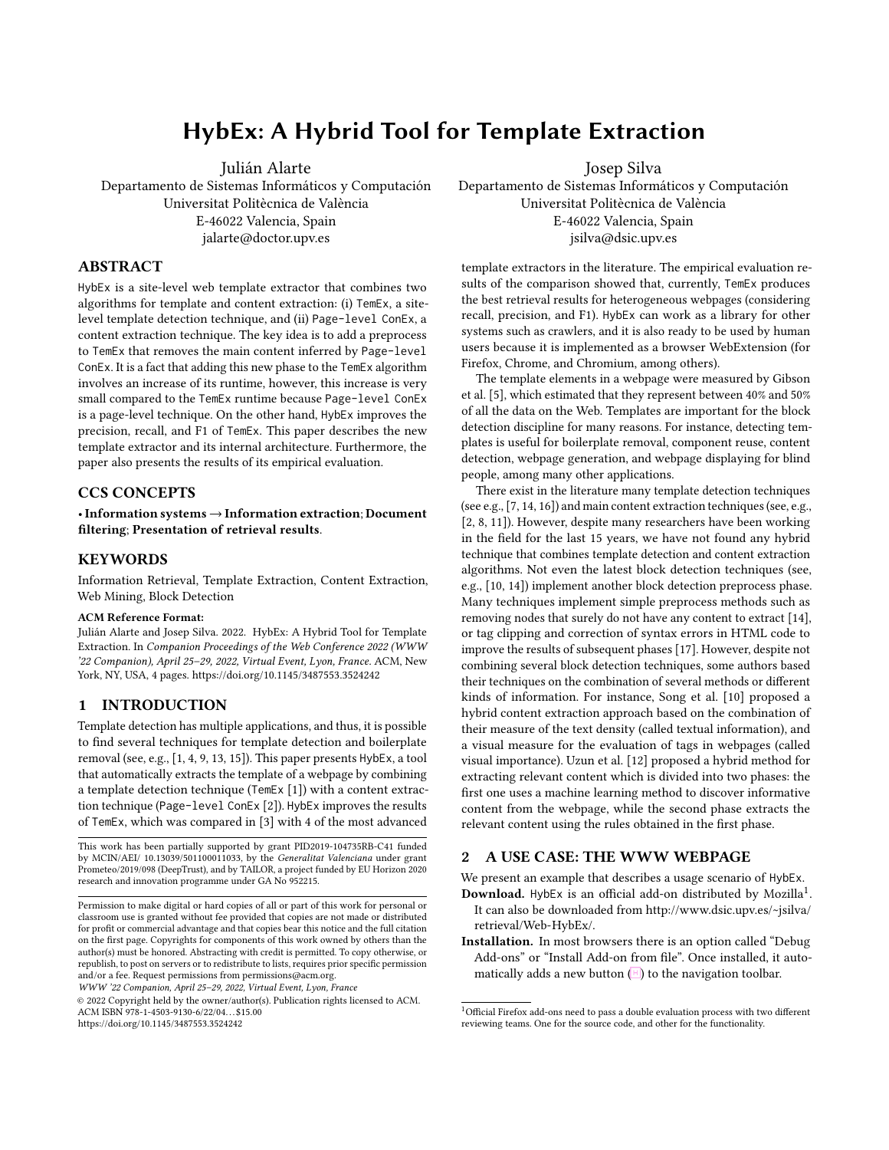# HybEx: A Hybrid Tool for Template Extraction

Julián Alarte Departamento de Sistemas Informáticos y Computación Universitat Politècnica de València E-46022 Valencia, Spain jalarte@doctor.upv.es

## ABSTRACT

HybEx is a site-level web template extractor that combines two algorithms for template and content extraction: (i) TemEx, a sitelevel template detection technique, and (ii) Page-level ConEx, a content extraction technique. The key idea is to add a preprocess to TemEx that removes the main content inferred by Page-level ConEx. It is a fact that adding this new phase to the TemEx algorithm involves an increase of its runtime, however, this increase is very small compared to the TemEx runtime because Page-level ConEx is a page-level technique. On the other hand, HybEx improves the precision, recall, and F1 of TemEx. This paper describes the new template extractor and its internal architecture. Furthermore, the paper also presents the results of its empirical evaluation.

## CCS CONCEPTS

•Information systems →Information extraction; Document filtering; Presentation of retrieval results.

## **KEYWORDS**

Information Retrieval, Template Extraction, Content Extraction, Web Mining, Block Detection

#### ACM Reference Format:

Julián Alarte and Josep Silva. 2022. HybEx: A Hybrid Tool for Template Extraction. In Companion Proceedings of the Web Conference 2022 (WWW '22 Companion), April 25–29, 2022, Virtual Event, Lyon, France. ACM, New York, NY, USA, [4](#page-3-0) pages.<https://doi.org/10.1145/3487553.3524242>

## 1 INTRODUCTION

Template detection has multiple applications, and thus, it is possible to find several techniques for template detection and boilerplate removal (see, e.g., [\[1,](#page-2-0) [4,](#page-2-1) [9,](#page-3-1) [13,](#page-3-2) [15\]](#page-3-3)). This paper presents HybEx, a tool that automatically extracts the template of a webpage by combining a template detection technique (TemEx [\[1\]](#page-2-0)) with a content extraction technique (Page-level ConEx [\[2\]](#page-2-2)). HybEx improves the results of TemEx, which was compared in [\[3\]](#page-2-3) with 4 of the most advanced

This work has been partially supported by grant PID2019-104735RB-C41 funded by MCIN/AEI/ 10.13039/501100011033, by the Generalitat Valenciana under grant Prometeo/2019/098 (DeepTrust), and by TAILOR, a project funded by EU Horizon 2020 research and innovation programme under GA No 952215.

WWW '22 Companion, April 25–29, 2022, Virtual Event, Lyon, France

© 2022 Copyright held by the owner/author(s). Publication rights licensed to ACM. ACM ISBN 978-1-4503-9130-6/22/04. . . \$15.00 <https://doi.org/10.1145/3487553.3524242>

Josep Silva

Departamento de Sistemas Informáticos y Computación Universitat Politècnica de València E-46022 Valencia, Spain jsilva@dsic.upv.es

template extractors in the literature. The empirical evaluation results of the comparison showed that, currently, TemEx produces the best retrieval results for heterogeneous webpages (considering recall, precision, and F1). HybEx can work as a library for other systems such as crawlers, and it is also ready to be used by human users because it is implemented as a browser WebExtension (for Firefox, Chrome, and Chromium, among others).

The template elements in a webpage were measured by Gibson et al. [\[5\]](#page-2-4), which estimated that they represent between 40% and 50% of all the data on the Web. Templates are important for the block detection discipline for many reasons. For instance, detecting templates is useful for boilerplate removal, component reuse, content detection, webpage generation, and webpage displaying for blind people, among many other applications.

There exist in the literature many template detection techniques (see e.g., [\[7,](#page-3-4) [14,](#page-3-5) [16\]](#page-3-6)) and main content extraction techniques (see, e.g., [\[2,](#page-2-2) [8,](#page-3-7) [11\]](#page-3-8)). However, despite many researchers have been working in the field for the last 15 years, we have not found any hybrid technique that combines template detection and content extraction algorithms. Not even the latest block detection techniques (see, e.g., [\[10,](#page-3-9) [14\]](#page-3-5)) implement another block detection preprocess phase. Many techniques implement simple preprocess methods such as removing nodes that surely do not have any content to extract [\[14\]](#page-3-5), or tag clipping and correction of syntax errors in HTML code to improve the results of subsequent phases [\[17\]](#page-3-10). However, despite not combining several block detection techniques, some authors based their techniques on the combination of several methods or different kinds of information. For instance, Song et al. [\[10\]](#page-3-9) proposed a hybrid content extraction approach based on the combination of their measure of the text density (called textual information), and a visual measure for the evaluation of tags in webpages (called visual importance). Uzun et al. [\[12\]](#page-3-11) proposed a hybrid method for extracting relevant content which is divided into two phases: the first one uses a machine learning method to discover informative content from the webpage, while the second phase extracts the relevant content using the rules obtained in the first phase.

#### <span id="page-0-1"></span>2 A USE CASE: THE WWW WEBPAGE

We present an example that describes a usage scenario of HybEx.

- Download. HybEx is an official add-on distributed by Mozilla<sup>[1](#page-0-0)</sup>. It can also be downloaded from [http://www.dsic.upv.es/~jsilva/](http://www.dsic.upv.es/~jsilva/retrieval/Web-HybEx/) [retrieval/Web-HybEx/.](http://www.dsic.upv.es/~jsilva/retrieval/Web-HybEx/)
- Installation. In most browsers there is an option called "Debug Add-ons" or "Install Add-on from file". Once installed, it automatically adds a new button  $(H)$  to the navigation toolbar.

Permission to make digital or hard copies of all or part of this work for personal or classroom use is granted without fee provided that copies are not made or distributed for profit or commercial advantage and that copies bear this notice and the full citation on the first page. Copyrights for components of this work owned by others than the author(s) must be honored. Abstracting with credit is permitted. To copy otherwise, or republish, to post on servers or to redistribute to lists, requires prior specific permission and/or a fee. Request permissions from permissions@acm.org.

<span id="page-0-0"></span><sup>1</sup>Official Firefox add-ons need to pass a double evaluation process with two different reviewing teams. One for the source code, and other for the functionality.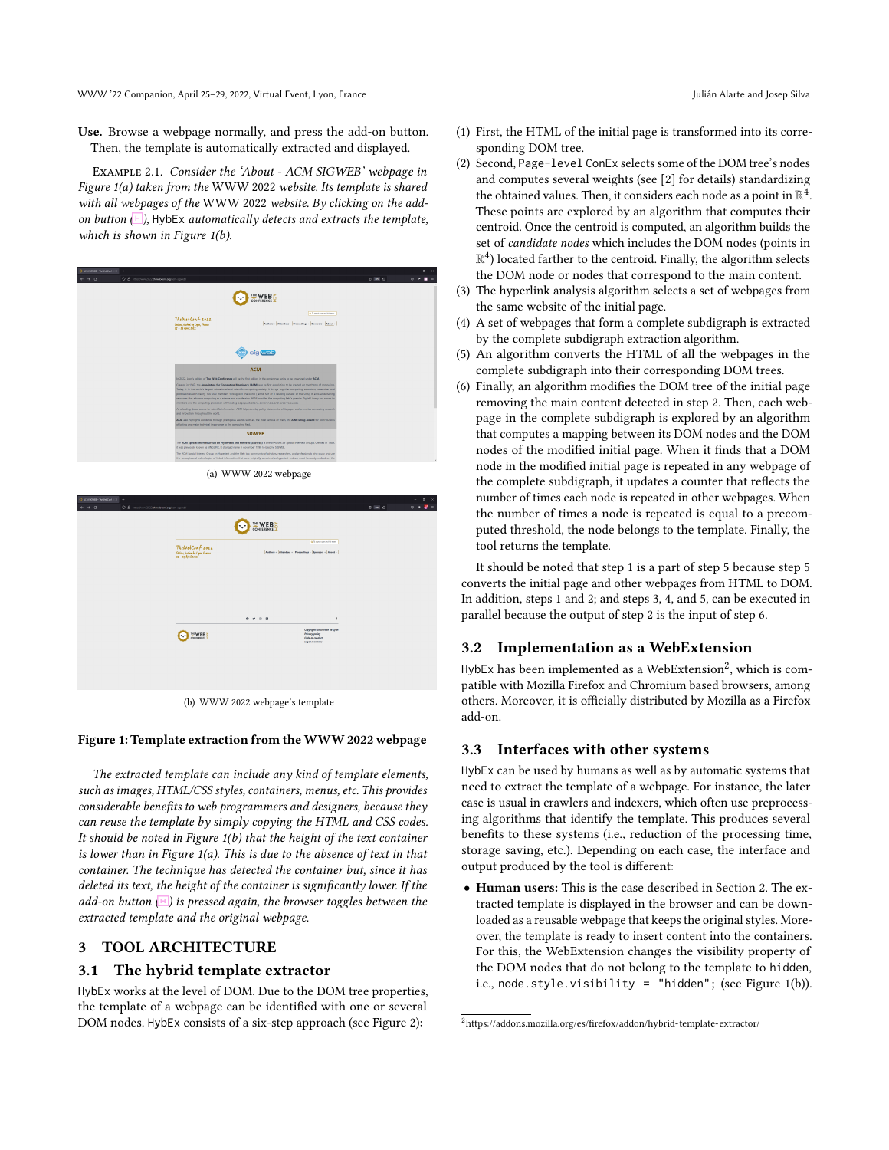WWW '22 Companion, April 25–29, 2022, Virtual Event, Lyon, France Julián Alarte and Josep Silva

Use. Browse a webpage normally, and press the add-on button. Then, the template is automatically extracted and displayed.

Example 2.1. Consider the 'About - ACM SIGWEB' webpage in Figure [1\(a\)](#page-1-0) taken from the WWW 2022 website. Its template is shared with all webpages of the WWW 2022 website. By clicking on the addon button  $\Box$ ), HybEx automatically detects and extracts the template, which is shown in Figure [1\(b\).](#page-1-1)

<span id="page-1-0"></span>

| $\bigcirc$ ACM SQVEE - TheWelcox $z \times +$                                                                                                   |                                                                                   |                                                                                                                                                                                                                                                                                                                                                                                                                                                                                                                                                                                                                                                                       |                                                             |       | $\circ$                          |  |  |  |
|-------------------------------------------------------------------------------------------------------------------------------------------------|-----------------------------------------------------------------------------------|-----------------------------------------------------------------------------------------------------------------------------------------------------------------------------------------------------------------------------------------------------------------------------------------------------------------------------------------------------------------------------------------------------------------------------------------------------------------------------------------------------------------------------------------------------------------------------------------------------------------------------------------------------------------------|-------------------------------------------------------------|-------|----------------------------------|--|--|--|
| $\leftarrow$ $\rightarrow$ $\sigma$<br>C & Impozivew2022 thewebcontag to thrigoets                                                              |                                                                                   |                                                                                                                                                                                                                                                                                                                                                                                                                                                                                                                                                                                                                                                                       |                                                             | 8 网分  | $\circ$ $\star$ $\blacksquare$ = |  |  |  |
|                                                                                                                                                 |                                                                                   | THE WEB                                                                                                                                                                                                                                                                                                                                                                                                                                                                                                                                                                                                                                                               |                                                             |       |                                  |  |  |  |
|                                                                                                                                                 |                                                                                   |                                                                                                                                                                                                                                                                                                                                                                                                                                                                                                                                                                                                                                                                       | <b>GRAND MONTHS</b>                                         |       |                                  |  |  |  |
|                                                                                                                                                 | TheWebConf 2022<br>Online, hathad by Lyan, France<br>25 - 29 April 2022           | $[{\tt A} {\tt x}{\tt B} {\tt a}{\tt v} - [{\tt A} {\tt T} {\tt a}{\tt v}{\tt d}{\tt e}{\tt s}{\tt v} - [{\tt B} {\tt p}{\tt o}{\tt v}{\tt a}{\tt v} - [{\tt B} {\tt p}{\tt o}{\tt v}{\tt d} - [{\tt B} {\tt b}{\tt v}{\tt d} - [{\tt B} {\tt b}{\tt v}{\tt d}]]$                                                                                                                                                                                                                                                                                                                                                                                                     |                                                             |       |                                  |  |  |  |
|                                                                                                                                                 |                                                                                   |                                                                                                                                                                                                                                                                                                                                                                                                                                                                                                                                                                                                                                                                       |                                                             |       |                                  |  |  |  |
|                                                                                                                                                 |                                                                                   | sig web                                                                                                                                                                                                                                                                                                                                                                                                                                                                                                                                                                                                                                                               |                                                             |       |                                  |  |  |  |
|                                                                                                                                                 |                                                                                   | <b>ACM</b><br>In 2022, Lion's edition of The Web Conference will be the first edition in the conference series to be organized under ACM.                                                                                                                                                                                                                                                                                                                                                                                                                                                                                                                             |                                                             |       |                                  |  |  |  |
|                                                                                                                                                 |                                                                                   | Crasted in 1947, the Association for Computing Machinery (ACM) was he first association to be created on the theme of computing.<br>Today. It is the world's largest educational and adentific computing abdety. It brings tagether computing educators, researcher and<br>professionals with nearly 100.000 members throughout the world ( annd half of it residing cutside of the USA). It aims at delivering<br>resources that advance computing as a science and a profession. ACM provides the computing field's premier Digital Ubrary and serves its<br>members and the computing profession with leading edge publications, conferences, and career resources |                                                             |       |                                  |  |  |  |
|                                                                                                                                                 | and innevation throughout the world.                                              | As a leading plotal source for spentific information, ACM helps develop policy statements, white paper and promotes computing requests<br>ACM also highlights monitous through prestigious awards such as, the most famous of them, the A.M Turing Award for contributions                                                                                                                                                                                                                                                                                                                                                                                            |                                                             |       |                                  |  |  |  |
|                                                                                                                                                 | effacting and major technical impertance to the computing field.<br><b>SIGWEB</b> |                                                                                                                                                                                                                                                                                                                                                                                                                                                                                                                                                                                                                                                                       |                                                             |       |                                  |  |  |  |
|                                                                                                                                                 |                                                                                   | The ACM Special leterest Group on Hypertext and the Web (SIGWEB) is one of ACM's 30 Special Internet Groups. Crusted in 1989.<br>it was previously known as SINSUNK. It changed name in november 1998 to become SIOWER.                                                                                                                                                                                                                                                                                                                                                                                                                                               |                                                             |       |                                  |  |  |  |
|                                                                                                                                                 |                                                                                   | The ACM Special Interest Group on Hypertext and the Web is a community of ocholars, researchers, and professionals who study and use<br>the concepts and technologies of linked information that were originally conceived as hypertext and are most famously realized on the                                                                                                                                                                                                                                                                                                                                                                                         |                                                             |       |                                  |  |  |  |
|                                                                                                                                                 |                                                                                   | (a) WWW 2022 webpage                                                                                                                                                                                                                                                                                                                                                                                                                                                                                                                                                                                                                                                  |                                                             |       |                                  |  |  |  |
| $\sqrt{2}$ ACM SQNEE - Therefore $\mathbb{R} \times \mathbb{R}$<br>$\rightarrow$ $\sigma$<br>C & Impozitovni2022 the celebrating to this posity |                                                                                   |                                                                                                                                                                                                                                                                                                                                                                                                                                                                                                                                                                                                                                                                       |                                                             | 8 网 介 | $\sigma$<br>$0 \times 2$         |  |  |  |
|                                                                                                                                                 |                                                                                   | THE WEB                                                                                                                                                                                                                                                                                                                                                                                                                                                                                                                                                                                                                                                               |                                                             |       |                                  |  |  |  |
|                                                                                                                                                 | TheWebConf 2022<br>Online, hathad by Lyan, France<br>25 - 29 April 2022           | $[{\tt A}x{\tt b}aa+{\tt ]}M{\tt Is}{\tt c}da{\tt e}+{\tt ]}\mathsf{P}\mathtt{ra}{\tt c}a{\tt e}{\tt d}{\tt e}y{\tt c}+{\tt ]}\mathtt{S}{\tt g}{\tt c}{\tt r}{\tt c}{\tt c}+{\tt ]}\mathtt{A}{\tt b}{\tt c}{\tt c}+{\tt ]}$                                                                                                                                                                                                                                                                                                                                                                                                                                           | <b>GRAND MOUNTAIN</b>                                       |       |                                  |  |  |  |
|                                                                                                                                                 |                                                                                   |                                                                                                                                                                                                                                                                                                                                                                                                                                                                                                                                                                                                                                                                       |                                                             |       |                                  |  |  |  |
|                                                                                                                                                 |                                                                                   |                                                                                                                                                                                                                                                                                                                                                                                                                                                                                                                                                                                                                                                                       |                                                             |       |                                  |  |  |  |
|                                                                                                                                                 |                                                                                   |                                                                                                                                                                                                                                                                                                                                                                                                                                                                                                                                                                                                                                                                       |                                                             |       |                                  |  |  |  |
|                                                                                                                                                 |                                                                                   | $0 \times 0.0$                                                                                                                                                                                                                                                                                                                                                                                                                                                                                                                                                                                                                                                        | $\ddot{\tau}$<br>Copyright: Université de Lyon              |       |                                  |  |  |  |
|                                                                                                                                                 | THE WEB 5                                                                         |                                                                                                                                                                                                                                                                                                                                                                                                                                                                                                                                                                                                                                                                       | <b>Printing policy</b><br>Code of conduct<br>Legal mercions |       |                                  |  |  |  |
|                                                                                                                                                 |                                                                                   |                                                                                                                                                                                                                                                                                                                                                                                                                                                                                                                                                                                                                                                                       |                                                             |       |                                  |  |  |  |

(b) WWW 2022 webpage's template

#### <span id="page-1-1"></span>Figure 1: Template extraction from the WWW 2022 webpage

The extracted template can include any kind of template elements, such as images, HTML/CSS styles, containers, menus, etc. This provides considerable benefits to web programmers and designers, because they can reuse the template by simply copying the HTML and CSS codes. It should be noted in Figure  $1(b)$  that the height of the text container is lower than in Figure [1\(a\).](#page-1-0) This is due to the absence of text in that container. The technique has detected the container but, since it has deleted its text, the height of the container is significantly lower. If the add-on button  $(H)$  is pressed again, the browser toggles between the extracted template and the original webpage.

## 3 TOOL ARCHITECTURE

#### 3.1 The hybrid template extractor

HybEx works at the level of DOM. Due to the DOM tree properties, the template of a webpage can be identified with one or several DOM nodes. HybEx consists of a six-step approach (see Figure [2\)](#page-2-5):

- (1) First, the HTML of the initial page is transformed into its corresponding DOM tree.
- (2) Second, Page-level ConEx selects some of the DOM tree's nodes and computes several weights (see [\[2\]](#page-2-2) for details) standardizing the obtained values. Then, it considers each node as a point in  $\mathbb{R}^{\bar{4}}$ . These points are explored by an algorithm that computes their centroid. Once the centroid is computed, an algorithm builds the set of candidate nodes which includes the DOM nodes (points in  $\mathbb{R}^4$ ) located farther to the centroid. Finally, the algorithm selects the DOM node or nodes that correspond to the main content.
- (3) The hyperlink analysis algorithm selects a set of webpages from the same website of the initial page.
- (4) A set of webpages that form a complete subdigraph is extracted by the complete subdigraph extraction algorithm.
- (5) An algorithm converts the HTML of all the webpages in the complete subdigraph into their corresponding DOM trees.
- (6) Finally, an algorithm modifies the DOM tree of the initial page removing the main content detected in step 2. Then, each webpage in the complete subdigraph is explored by an algorithm that computes a mapping between its DOM nodes and the DOM nodes of the modified initial page. When it finds that a DOM node in the modified initial page is repeated in any webpage of the complete subdigraph, it updates a counter that reflects the number of times each node is repeated in other webpages. When the number of times a node is repeated is equal to a precomputed threshold, the node belongs to the template. Finally, the tool returns the template.

It should be noted that step 1 is a part of step 5 because step 5 converts the initial page and other webpages from HTML to DOM. In addition, steps 1 and 2; and steps 3, 4, and 5, can be executed in parallel because the output of step 2 is the input of step 6.

## 3.2 Implementation as a WebExtension

<code>HybEx</code> has been implemented as a WebExtension $^2$  $^2$ , which is compatible with Mozilla Firefox and Chromium based browsers, among others. Moreover, it is officially distributed by Mozilla as a Firefox add-on.

#### 3.3 Interfaces with other systems

HybEx can be used by humans as well as by automatic systems that need to extract the template of a webpage. For instance, the later case is usual in crawlers and indexers, which often use preprocessing algorithms that identify the template. This produces several benefits to these systems (i.e., reduction of the processing time, storage saving, etc.). Depending on each case, the interface and output produced by the tool is different:

• Human users: This is the case described in Section [2.](#page-0-1) The extracted template is displayed in the browser and can be downloaded as a reusable webpage that keeps the original styles. Moreover, the template is ready to insert content into the containers. For this, the WebExtension changes the visibility property of the DOM nodes that do not belong to the template to hidden, i.e., node.style.visibility = "hidden"; (see Figure [1\(b\)\)](#page-1-1).

<span id="page-1-2"></span><sup>2</sup><https://addons.mozilla.org/es/firefox/addon/hybrid-template-extractor/>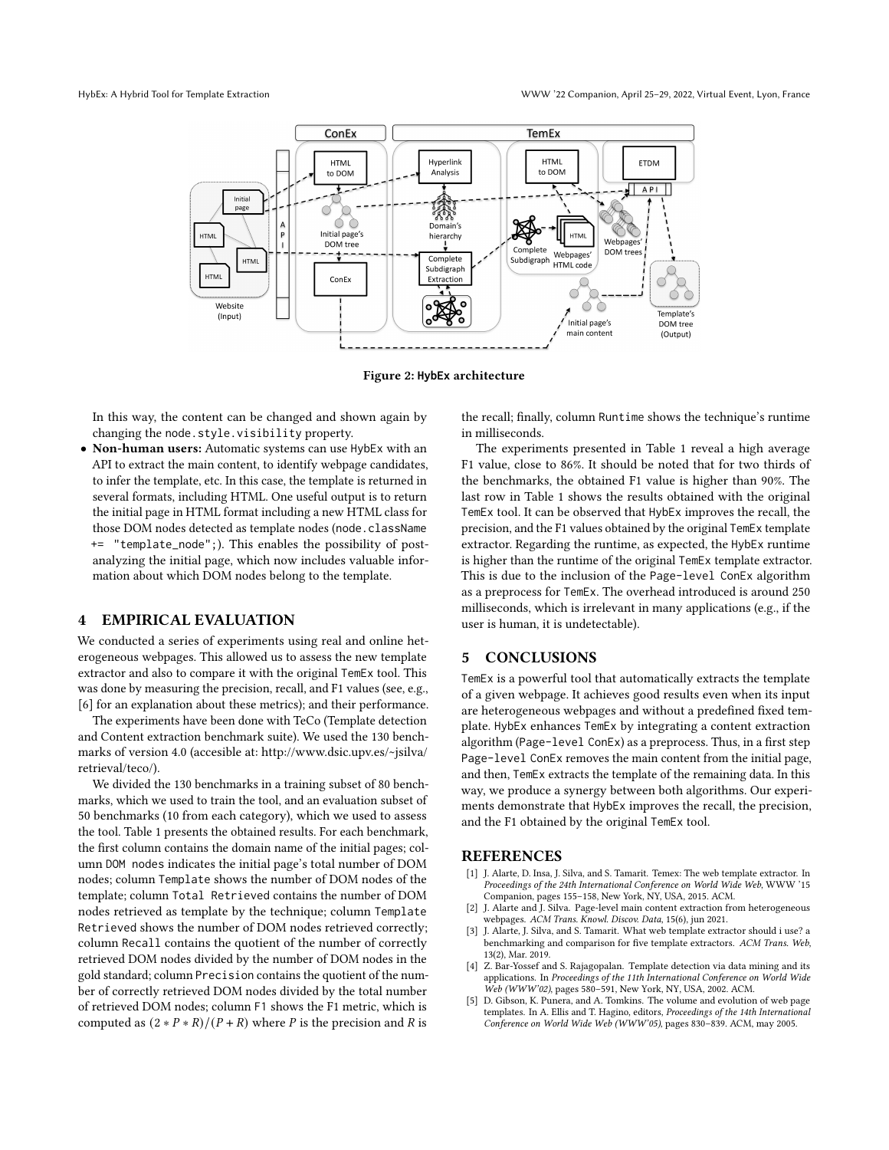<span id="page-2-5"></span>

Figure 2: **HybEx** architecture

In this way, the content can be changed and shown again by changing the node.style.visibility property.

• Non-human users: Automatic systems can use HybEx with an API to extract the main content, to identify webpage candidates, to infer the template, etc. In this case, the template is returned in several formats, including HTML. One useful output is to return the initial page in HTML format including a new HTML class for those DOM nodes detected as template nodes (node.className += "template\_node";). This enables the possibility of postanalyzing the initial page, which now includes valuable information about which DOM nodes belong to the template.

## 4 EMPIRICAL EVALUATION

We conducted a series of experiments using real and online heterogeneous webpages. This allowed us to assess the new template extractor and also to compare it with the original TemEx tool. This was done by measuring the precision, recall, and F1 values (see, e.g., [\[6\]](#page-3-12) for an explanation about these metrics); and their performance.

The experiments have been done with TeCo (Template detection and Content extraction benchmark suite). We used the 130 benchmarks of version 4.0 (accesible at: [http://www.dsic.upv.es/~jsilva/](http://www.dsic.upv.es/~jsilva/retrieval/teco/) [retrieval/teco/\)](http://www.dsic.upv.es/~jsilva/retrieval/teco/).

We divided the 130 benchmarks in a training subset of 80 benchmarks, which we used to train the tool, and an evaluation subset of 50 benchmarks (10 from each category), which we used to assess the tool. Table [1](#page-3-13) presents the obtained results. For each benchmark, the first column contains the domain name of the initial pages; column DOM nodes indicates the initial page's total number of DOM nodes; column Template shows the number of DOM nodes of the template; column Total Retrieved contains the number of DOM nodes retrieved as template by the technique; column Template Retrieved shows the number of DOM nodes retrieved correctly; column Recall contains the quotient of the number of correctly retrieved DOM nodes divided by the number of DOM nodes in the gold standard; column Precision contains the quotient of the number of correctly retrieved DOM nodes divided by the total number of retrieved DOM nodes; column F1 shows the F1 metric, which is computed as  $(2 * P * R)/(P + R)$  where P is the precision and R is

the recall; finally, column Runtime shows the technique's runtime in milliseconds.

The experiments presented in Table [1](#page-3-13) reveal a high average F1 value, close to 86%. It should be noted that for two thirds of the benchmarks, the obtained F1 value is higher than 90%. The last row in Table [1](#page-3-13) shows the results obtained with the original TemEx tool. It can be observed that HybEx improves the recall, the precision, and the F1 values obtained by the original TemEx template extractor. Regarding the runtime, as expected, the HybEx runtime is higher than the runtime of the original TemEx template extractor. This is due to the inclusion of the Page-level ConEx algorithm as a preprocess for TemEx. The overhead introduced is around 250 milliseconds, which is irrelevant in many applications (e.g., if the user is human, it is undetectable).

## 5 CONCLUSIONS

TemEx is a powerful tool that automatically extracts the template of a given webpage. It achieves good results even when its input are heterogeneous webpages and without a predefined fixed template. HybEx enhances TemEx by integrating a content extraction algorithm (Page-level ConEx) as a preprocess. Thus, in a first step Page-level ConEx removes the main content from the initial page, and then, TemEx extracts the template of the remaining data. In this way, we produce a synergy between both algorithms. Our experiments demonstrate that HybEx improves the recall, the precision, and the F1 obtained by the original TemEx tool.

#### REFERENCES

- <span id="page-2-0"></span>[1] J. Alarte, D. Insa, J. Silva, and S. Tamarit. Temex: The web template extractor. In Proceedings of the 24th International Conference on World Wide Web, WWW '15 Companion, pages 155–158, New York, NY, USA, 2015. ACM.
- <span id="page-2-2"></span>[2] J. Alarte and J. Silva. Page-level main content extraction from heterogeneous webpages. ACM Trans. Knowl. Discov. Data, 15(6), jun 2021.
- <span id="page-2-3"></span>[3] J. Alarte, J. Silva, and S. Tamarit. What web template extractor should i use? a benchmarking and comparison for five template extractors. ACM Trans. Web, 13(2), Mar. 2019.
- <span id="page-2-1"></span>Z. Bar-Yossef and S. Rajagopalan. Template detection via data mining and its applications. In Proceedings of the 11th International Conference on World Wide Web (WWW'02), pages 580–591, New York, NY, USA, 2002. ACM.
- <span id="page-2-4"></span>[5] D. Gibson, K. Punera, and A. Tomkins. The volume and evolution of web page templates. In A. Ellis and T. Hagino, editors, Proceedings of the 14th International Conference on World Wide Web (WWW'05), pages 830–839. ACM, may 2005.